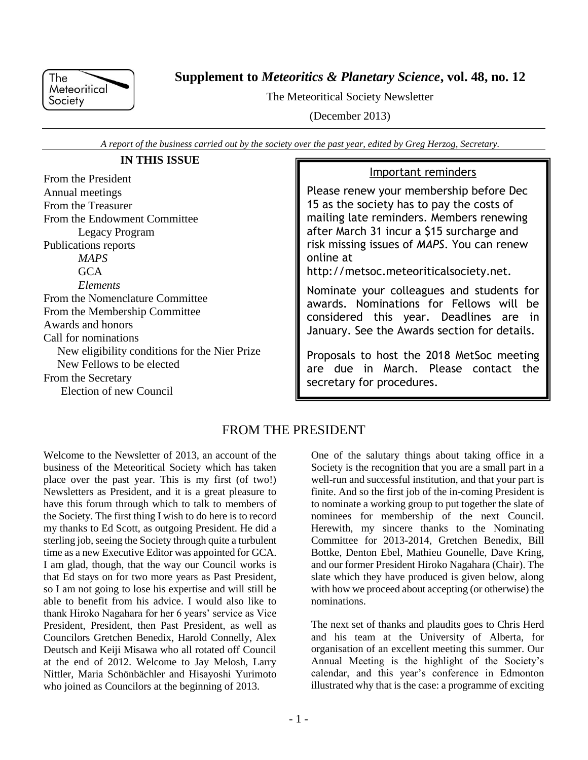

**Supplement to** *Meteoritics & Planetary Science***, vol. 48, no. 12**

The Meteoritical Society Newsletter

(December 2013)

*A report of the business carried out by the society over the past year, edited by Greg Herzog, Secretary.*

# **IN THIS ISSUE**

From the President Annual meetings From the Treasurer From the Endowment Committee Legacy Program Publications reports *MAPS*  $GCA$ *Elements* From the Nomenclature Committee From the Membership Committee Awards and honors Call for nominations New eligibility conditions for the Nier Prize New Fellows to be elected From the Secretary Election of new Council

# Important reminders

Please renew your membership before Dec 15 as the society has to pay the costs of mailing late reminders. Members renewing after March 31 incur a \$15 surcharge and risk missing issues of *MAPS*. You can renew online at

http://metsoc.meteoriticalsociety.net.

Nominate your colleagues and students for awards. Nominations for Fellows will be considered this year. Deadlines are in January. See the Awards section for details.

Proposals to host the 2018 MetSoc meeting are due in March. Please contact the secretary for procedures.

# FROM THE PRESIDENT

Welcome to the Newsletter of 2013, an account of the business of the Meteoritical Society which has taken place over the past year. This is my first (of two!) Newsletters as President, and it is a great pleasure to have this forum through which to talk to members of the Society. The first thing I wish to do here is to record my thanks to Ed Scott, as outgoing President. He did a sterling job, seeing the Society through quite a turbulent time as a new Executive Editor was appointed for GCA. I am glad, though, that the way our Council works is that Ed stays on for two more years as Past President, so I am not going to lose his expertise and will still be able to benefit from his advice. I would also like to thank Hiroko Nagahara for her 6 years' service as Vice President, President, then Past President, as well as Councilors Gretchen Benedix, Harold Connelly, Alex Deutsch and Keiji Misawa who all rotated off Council at the end of 2012. Welcome to Jay Melosh, Larry Nittler, Maria Schönbächler and Hisayoshi Yurimoto who joined as Councilors at the beginning of 2013.

One of the salutary things about taking office in a Society is the recognition that you are a small part in a well-run and successful institution, and that your part is finite. And so the first job of the in-coming President is to nominate a working group to put together the slate of nominees for membership of the next Council. Herewith, my sincere thanks to the Nominating Committee for 2013-2014, Gretchen Benedix, Bill Bottke, Denton Ebel, Mathieu Gounelle, Dave Kring, and our former President Hiroko Nagahara (Chair). The slate which they have produced is given below, along with how we proceed about accepting (or otherwise) the nominations.

The next set of thanks and plaudits goes to Chris Herd and his team at the University of Alberta, for organisation of an excellent meeting this summer. Our Annual Meeting is the highlight of the Society's calendar, and this year's conference in Edmonton illustrated why that is the case: a programme of exciting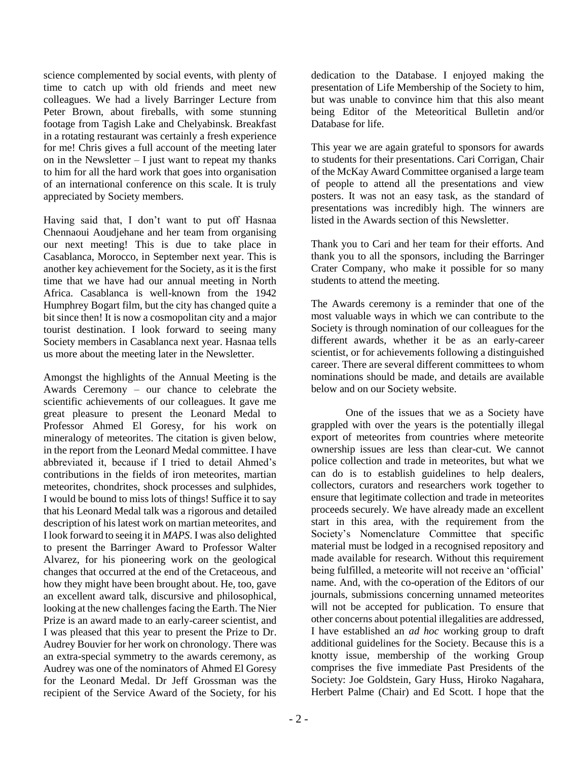science complemented by social events, with plenty of time to catch up with old friends and meet new colleagues. We had a lively Barringer Lecture from Peter Brown, about fireballs, with some stunning footage from Tagish Lake and Chelyabinsk. Breakfast in a rotating restaurant was certainly a fresh experience for me! Chris gives a full account of the meeting later on in the Newsletter  $- I$  just want to repeat my thanks to him for all the hard work that goes into organisation of an international conference on this scale. It is truly appreciated by Society members.

Having said that, I don't want to put off Hasnaa Chennaoui Aoudjehane and her team from organising our next meeting! This is due to take place in Casablanca, Morocco, in September next year. This is another key achievement for the Society, as it is the first time that we have had our annual meeting in North Africa. Casablanca is well-known from the 1942 Humphrey Bogart film, but the city has changed quite a bit since then! It is now a cosmopolitan city and a major tourist destination. I look forward to seeing many Society members in Casablanca next year. Hasnaa tells us more about the meeting later in the Newsletter.

Amongst the highlights of the Annual Meeting is the Awards Ceremony – our chance to celebrate the scientific achievements of our colleagues. It gave me great pleasure to present the Leonard Medal to Professor Ahmed El Goresy, for his work on mineralogy of meteorites. The citation is given below, in the report from the Leonard Medal committee. I have abbreviated it, because if I tried to detail Ahmed's contributions in the fields of iron meteorites, martian meteorites, chondrites, shock processes and sulphides, I would be bound to miss lots of things! Suffice it to say that his Leonard Medal talk was a rigorous and detailed description of his latest work on martian meteorites, and I look forward to seeing it in *MAPS*. I was also delighted to present the Barringer Award to Professor Walter Alvarez, for his pioneering work on the geological changes that occurred at the end of the Cretaceous, and how they might have been brought about. He, too, gave an excellent award talk, discursive and philosophical, looking at the new challenges facing the Earth. The Nier Prize is an award made to an early-career scientist, and I was pleased that this year to present the Prize to Dr. Audrey Bouvier for her work on chronology. There was an extra-special symmetry to the awards ceremony, as Audrey was one of the nominators of Ahmed El Goresy for the Leonard Medal. Dr Jeff Grossman was the recipient of the Service Award of the Society, for his

dedication to the Database. I enjoyed making the presentation of Life Membership of the Society to him, but was unable to convince him that this also meant being Editor of the Meteoritical Bulletin and/or Database for life.

This year we are again grateful to sponsors for awards to students for their presentations. Cari Corrigan, Chair of the McKay Award Committee organised a large team of people to attend all the presentations and view posters. It was not an easy task, as the standard of presentations was incredibly high. The winners are listed in the Awards section of this Newsletter.

Thank you to Cari and her team for their efforts. And thank you to all the sponsors, including the Barringer Crater Company, who make it possible for so many students to attend the meeting.

The Awards ceremony is a reminder that one of the most valuable ways in which we can contribute to the Society is through nomination of our colleagues for the different awards, whether it be as an early-career scientist, or for achievements following a distinguished career. There are several different committees to whom nominations should be made, and details are available below and on our Society website.

One of the issues that we as a Society have grappled with over the years is the potentially illegal export of meteorites from countries where meteorite ownership issues are less than clear-cut. We cannot police collection and trade in meteorites, but what we can do is to establish guidelines to help dealers, collectors, curators and researchers work together to ensure that legitimate collection and trade in meteorites proceeds securely. We have already made an excellent start in this area, with the requirement from the Society's Nomenclature Committee that specific material must be lodged in a recognised repository and made available for research. Without this requirement being fulfilled, a meteorite will not receive an 'official' name. And, with the co-operation of the Editors of our journals, submissions concerning unnamed meteorites will not be accepted for publication. To ensure that other concerns about potential illegalities are addressed, I have established an *ad hoc* working group to draft additional guidelines for the Society. Because this is a knotty issue, membership of the working Group comprises the five immediate Past Presidents of the Society: Joe Goldstein, Gary Huss, Hiroko Nagahara, Herbert Palme (Chair) and Ed Scott. I hope that the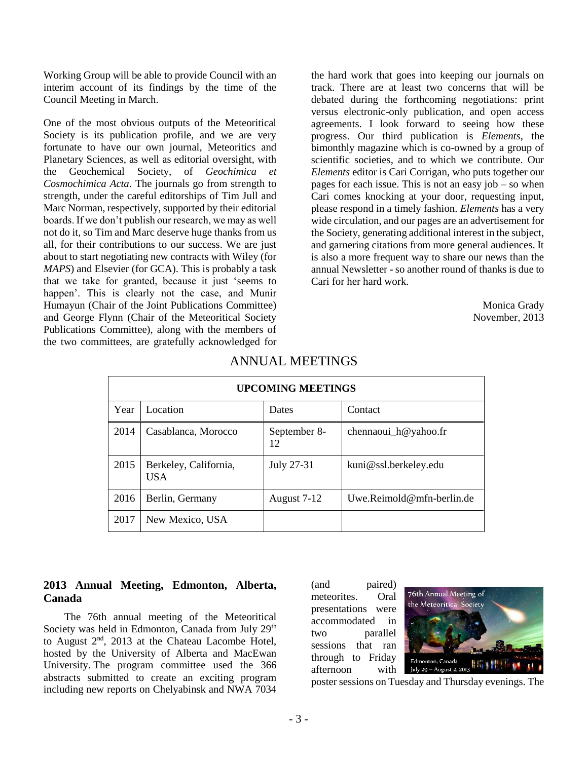Working Group will be able to provide Council with an interim account of its findings by the time of the Council Meeting in March.

One of the most obvious outputs of the Meteoritical Society is its publication profile, and we are very fortunate to have our own journal, Meteoritics and Planetary Sciences, as well as editorial oversight, with the Geochemical Society, of *Geochimica et Cosmochimica Acta*. The journals go from strength to strength, under the careful editorships of Tim Jull and Marc Norman, respectively, supported by their editorial boards. If we don't publish our research, we may as well not do it, so Tim and Marc deserve huge thanks from us all, for their contributions to our success. We are just about to start negotiating new contracts with Wiley (for *MAPS*) and Elsevier (for GCA). This is probably a task that we take for granted, because it just 'seems to happen'. This is clearly not the case, and Munir Humayun (Chair of the Joint Publications Committee) and George Flynn (Chair of the Meteoritical Society Publications Committee), along with the members of the two committees, are gratefully acknowledged for

the hard work that goes into keeping our journals on track. There are at least two concerns that will be debated during the forthcoming negotiations: print versus electronic-only publication, and open access agreements. I look forward to seeing how these progress. Our third publication is *Elements*, the bimonthly magazine which is co-owned by a group of scientific societies, and to which we contribute. Our *Elements* editor is Cari Corrigan, who puts together our pages for each issue. This is not an easy job – so when Cari comes knocking at your door, requesting input, please respond in a timely fashion. *Elements* has a very wide circulation, and our pages are an advertisement for the Society, generating additional interest in the subject, and garnering citations from more general audiences. It is also a more frequent way to share our news than the annual Newsletter - so another round of thanks is due to Cari for her hard work.

> Monica Grady November, 2013

| <b>UPCOMING MEETINGS</b> |                                     |                    |                           |  |  |  |
|--------------------------|-------------------------------------|--------------------|---------------------------|--|--|--|
| Year                     | Location                            | Dates              | Contact                   |  |  |  |
| 2014                     | Casablanca, Morocco                 | September 8-<br>12 | chennaoui_h@yahoo.fr      |  |  |  |
| 2015                     | Berkeley, California,<br><b>USA</b> | July 27-31         | kuni@ssl.berkeley.edu     |  |  |  |
| 2016                     | Berlin, Germany                     | August 7-12        | Uwe.Reimold@mfn-berlin.de |  |  |  |
| 2017                     | New Mexico, USA                     |                    |                           |  |  |  |

# ANNUAL MEETINGS

# **2013 Annual Meeting, Edmonton, Alberta, Canada**

The 76th annual meeting of the Meteoritical Society was held in Edmonton, Canada from July 29<sup>th</sup> to August 2<sup>nd</sup>, 2013 at the Chateau Lacombe Hotel, hosted by the University of Alberta and MacEwan University. The program committee used the 366 abstracts submitted to create an exciting program including new reports on Chelyabinsk and NWA 7034 (and paired) meteorites. Oral presentations were accommodated in two parallel sessions that ran through to Friday afternoon with



poster sessions on Tuesday and Thursday evenings. The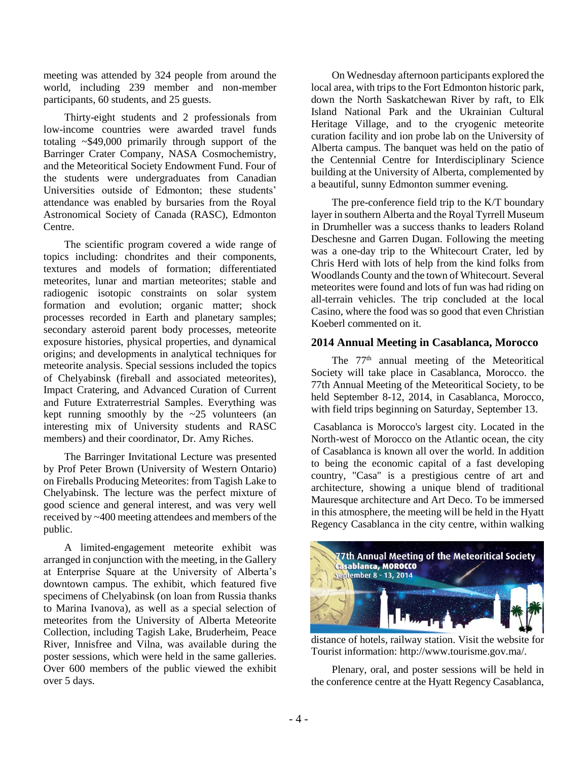meeting was attended by 324 people from around the world, including 239 member and non-member participants, 60 students, and 25 guests.

Thirty-eight students and 2 professionals from low-income countries were awarded travel funds totaling ~\$49,000 primarily through support of the Barringer Crater Company, NASA Cosmochemistry, and the Meteoritical Society Endowment Fund. Four of the students were undergraduates from Canadian Universities outside of Edmonton; these students' attendance was enabled by bursaries from the Royal Astronomical Society of Canada (RASC), Edmonton Centre.

The scientific program covered a wide range of topics including: chondrites and their components, textures and models of formation; differentiated meteorites, lunar and martian meteorites; stable and radiogenic isotopic constraints on solar system formation and evolution; organic matter; shock processes recorded in Earth and planetary samples; secondary asteroid parent body processes, meteorite exposure histories, physical properties, and dynamical origins; and developments in analytical techniques for meteorite analysis. Special sessions included the topics of Chelyabinsk (fireball and associated meteorites), Impact Cratering, and Advanced Curation of Current and Future Extraterrestrial Samples. Everything was kept running smoothly by the  $\sim$ 25 volunteers (an interesting mix of University students and RASC members) and their coordinator, Dr. Amy Riches.

The Barringer Invitational Lecture was presented by Prof Peter Brown (University of Western Ontario) on Fireballs Producing Meteorites: from Tagish Lake to Chelyabinsk. The lecture was the perfect mixture of good science and general interest, and was very well received by ~400 meeting attendees and members of the public.

A limited-engagement meteorite exhibit was arranged in conjunction with the meeting, in the Gallery at Enterprise Square at the University of Alberta's downtown campus. The exhibit, which featured five specimens of Chelyabinsk (on loan from Russia thanks to Marina Ivanova), as well as a special selection of meteorites from the University of Alberta Meteorite Collection, including Tagish Lake, Bruderheim, Peace River, Innisfree and Vilna, was available during the poster sessions, which were held in the same galleries. Over 600 members of the public viewed the exhibit over 5 days.

On Wednesday afternoon participants explored the local area, with trips to the Fort Edmonton historic park, down the North Saskatchewan River by raft, to Elk Island National Park and the Ukrainian Cultural Heritage Village, and to the cryogenic meteorite curation facility and ion probe lab on the University of Alberta campus. The banquet was held on the patio of the Centennial Centre for Interdisciplinary Science building at the University of Alberta, complemented by a beautiful, sunny Edmonton summer evening.

The pre-conference field trip to the K/T boundary layer in southern Alberta and the Royal Tyrrell Museum in Drumheller was a success thanks to leaders Roland Deschesne and Garren Dugan. Following the meeting was a one-day trip to the Whitecourt Crater, led by Chris Herd with lots of help from the kind folks from Woodlands County and the town of Whitecourt. Several meteorites were found and lots of fun was had riding on all-terrain vehicles. The trip concluded at the local Casino, where the food was so good that even Christian Koeberl commented on it.

## **2014 Annual Meeting in Casablanca, Morocco**

The 77<sup>th</sup> annual meeting of the Meteoritical Society will take place in Casablanca, Morocco. the 77th Annual Meeting of the Meteoritical Society, to be held September 8-12, 2014, in Casablanca, Morocco, with field trips beginning on Saturday, September 13.

Casablanca is Morocco's largest city. Located in the North-west of Morocco on the Atlantic ocean, the city of Casablanca is known all over the world. In addition to being the economic capital of a fast developing country, "Casa" is a prestigious centre of art and architecture, showing a unique blend of traditional Mauresque architecture and Art Deco. To be immersed in this atmosphere, the meeting will be held in the Hyatt Regency Casablanca in the city centre, within walking



distance of hotels, railway station. Visit the website for Tourist information: http://www.tourisme.gov.ma/.

Plenary, oral, and poster sessions will be held in the conference centre at the Hyatt Regency Casablanca,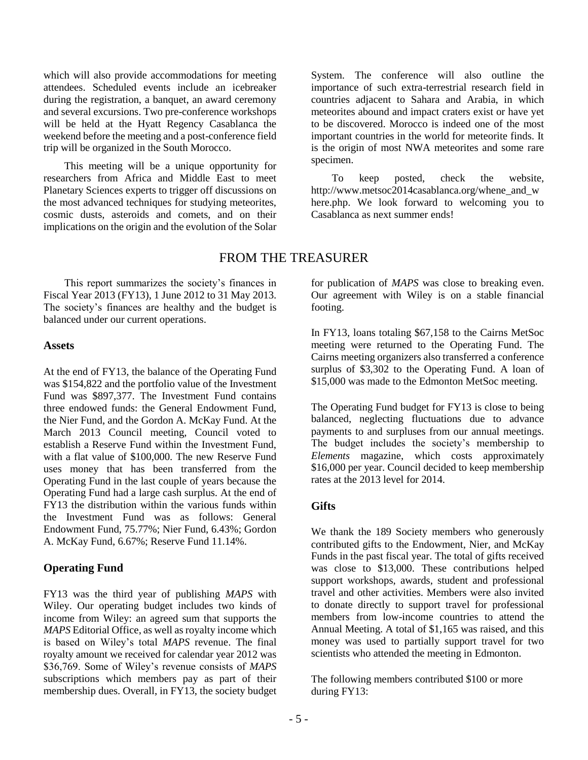which will also provide accommodations for meeting attendees. Scheduled events include an icebreaker during the registration, a banquet, an award ceremony and several excursions. Two pre-conference workshops will be held at the Hyatt Regency Casablanca the weekend before the meeting and a post-conference field trip will be organized in the South Morocco.

This meeting will be a unique opportunity for researchers from Africa and Middle East to meet Planetary Sciences experts to trigger off discussions on the most advanced techniques for studying meteorites, cosmic dusts, asteroids and comets, and on their implications on the origin and the evolution of the Solar System. The conference will also outline the importance of such extra-terrestrial research field in countries adjacent to Sahara and Arabia, in which meteorites abound and impact craters exist or have yet to be discovered. Morocco is indeed one of the most important countries in the world for meteorite finds. It is the origin of most NWA meteorites and some rare specimen.

To keep posted, check the website, http://www.metsoc2014casablanca.org/whene\_and\_w here.php. We look forward to welcoming you to Casablanca as next summer ends!

# FROM THE TREASURER

This report summarizes the society's finances in Fiscal Year 2013 (FY13), 1 June 2012 to 31 May 2013. The society's finances are healthy and the budget is balanced under our current operations.

#### **Assets**

At the end of FY13, the balance of the Operating Fund was \$154,822 and the portfolio value of the Investment Fund was \$897,377. The Investment Fund contains three endowed funds: the General Endowment Fund, the Nier Fund, and the Gordon A. McKay Fund. At the March 2013 Council meeting, Council voted to establish a Reserve Fund within the Investment Fund, with a flat value of \$100,000. The new Reserve Fund uses money that has been transferred from the Operating Fund in the last couple of years because the Operating Fund had a large cash surplus. At the end of FY13 the distribution within the various funds within the Investment Fund was as follows: General Endowment Fund, 75.77%; Nier Fund, 6.43%; Gordon A. McKay Fund, 6.67%; Reserve Fund 11.14%.

# **Operating Fund**

FY13 was the third year of publishing *MAPS* with Wiley. Our operating budget includes two kinds of income from Wiley: an agreed sum that supports the *MAPS* Editorial Office, as well as royalty income which is based on Wiley's total *MAPS* revenue. The final royalty amount we received for calendar year 2012 was \$36,769. Some of Wiley's revenue consists of *MAPS* subscriptions which members pay as part of their membership dues. Overall, in FY13, the society budget for publication of *MAPS* was close to breaking even. Our agreement with Wiley is on a stable financial footing.

In FY13, loans totaling \$67,158 to the Cairns MetSoc meeting were returned to the Operating Fund. The Cairns meeting organizers also transferred a conference surplus of \$3,302 to the Operating Fund. A loan of \$15,000 was made to the Edmonton MetSoc meeting.

The Operating Fund budget for FY13 is close to being balanced, neglecting fluctuations due to advance payments to and surpluses from our annual meetings. The budget includes the society's membership to *Elements* magazine, which costs approximately \$16,000 per year. Council decided to keep membership rates at the 2013 level for 2014.

# **Gifts**

We thank the 189 Society members who generously contributed gifts to the Endowment, Nier, and McKay Funds in the past fiscal year. The total of gifts received was close to \$13,000. These contributions helped support workshops, awards, student and professional travel and other activities. Members were also invited to donate directly to support travel for professional members from low-income countries to attend the Annual Meeting. A total of \$1,165 was raised, and this money was used to partially support travel for two scientists who attended the meeting in Edmonton.

The following members contributed \$100 or more during FY13: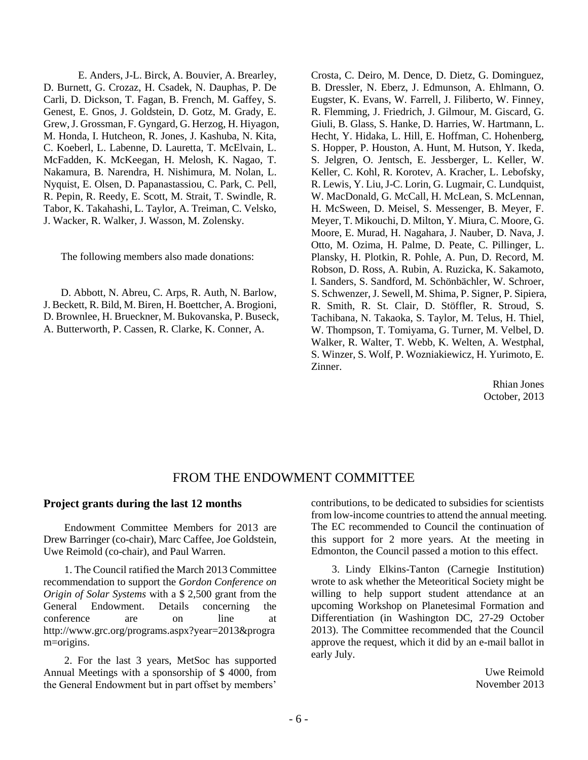E. Anders, J-L. Birck, A. Bouvier, A. Brearley, D. Burnett, G. Crozaz, H. Csadek, N. Dauphas, P. De Carli, D. Dickson, T. Fagan, B. French, M. Gaffey, S. Genest, E. Gnos, J. Goldstein, D. Gotz, M. Grady, E. Grew, J. Grossman, F. Gyngard, G. Herzog, H. Hiyagon, M. Honda, I. Hutcheon, R. Jones, J. Kashuba, N. Kita, C. Koeberl, L. Labenne, D. Lauretta, T. McElvain, L. McFadden, K. McKeegan, H. Melosh, K. Nagao, T. Nakamura, B. Narendra, H. Nishimura, M. Nolan, L. Nyquist, E. Olsen, D. Papanastassiou, C. Park, C. Pell, R. Pepin, R. Reedy, E. Scott, M. Strait, T. Swindle, R. Tabor, K. Takahashi, L. Taylor, A. Treiman, C. Velsko, J. Wacker, R. Walker, J. Wasson, M. Zolensky.

The following members also made donations:

D. Abbott, N. Abreu, C. Arps, R. Auth, N. Barlow, J. Beckett, R. Bild, M. Biren, H. Boettcher, A. Brogioni, D. Brownlee, H. Brueckner, M. Bukovanska, P. Buseck, A. Butterworth, P. Cassen, R. Clarke, K. Conner, A.

Crosta, C. Deiro, M. Dence, D. Dietz, G. Dominguez, B. Dressler, N. Eberz, J. Edmunson, A. Ehlmann, O. Eugster, K. Evans, W. Farrell, J. Filiberto, W. Finney, R. Flemming, J. Friedrich, J. Gilmour, M. Giscard, G. Giuli, B. Glass, S. Hanke, D. Harries, W. Hartmann, L. Hecht, Y. Hidaka, L. Hill, E. Hoffman, C. Hohenberg, S. Hopper, P. Houston, A. Hunt, M. Hutson, Y. Ikeda, S. Jelgren, O. Jentsch, E. Jessberger, L. Keller, W. Keller, C. Kohl, R. Korotev, A. Kracher, L. Lebofsky, R. Lewis, Y. Liu, J-C. Lorin, G. Lugmair, C. Lundquist, W. MacDonald, G. McCall, H. McLean, S. McLennan, H. McSween, D. Meisel, S. Messenger, B. Meyer, F. Meyer, T. Mikouchi, D. Milton, Y. Miura, C. Moore, G. Moore, E. Murad, H. Nagahara, J. Nauber, D. Nava, J. Otto, M. Ozima, H. Palme, D. Peate, C. Pillinger, L. Plansky, H. Plotkin, R. Pohle, A. Pun, D. Record, M. Robson, D. Ross, A. Rubin, A. Ruzicka, K. Sakamoto, I. Sanders, S. Sandford, M. Schönbächler, W. Schroer, S. Schwenzer, J. Sewell, M. Shima, P. Signer, P. Sipiera, R. Smith, R. St. Clair, D. Stöffler, R. Stroud, S. Tachibana, N. Takaoka, S. Taylor, M. Telus, H. Thiel, W. Thompson, T. Tomiyama, G. Turner, M. Velbel, D. Walker, R. Walter, T. Webb, K. Welten, A. Westphal, S. Winzer, S. Wolf, P. Wozniakiewicz, H. Yurimoto, E. Zinner.

> Rhian Jones October, 2013

# FROM THE ENDOWMENT COMMITTEE

#### **Project grants during the last 12 months**

Endowment Committee Members for 2013 are Drew Barringer (co-chair), Marc Caffee, Joe Goldstein, Uwe Reimold (co-chair), and Paul Warren.

1. The Council ratified the March 2013 Committee recommendation to support the *Gordon Conference on Origin of Solar Systems* with a \$ 2,500 grant from the General Endowment. Details concerning the conference are on line at http://www.grc.org/programs.aspx?year=2013&progra m=origins.

2. For the last 3 years, MetSoc has supported Annual Meetings with a sponsorship of \$ 4000, from the General Endowment but in part offset by members' contributions, to be dedicated to subsidies for scientists from low-income countries to attend the annual meeting. The EC recommended to Council the continuation of this support for 2 more years. At the meeting in Edmonton, the Council passed a motion to this effect.

3. Lindy Elkins-Tanton (Carnegie Institution) wrote to ask whether the Meteoritical Society might be willing to help support student attendance at an upcoming Workshop on Planetesimal Formation and Differentiation (in Washington DC, 27-29 October 2013). The Committee recommended that the Council approve the request, which it did by an e-mail ballot in early July.

> Uwe Reimold November 2013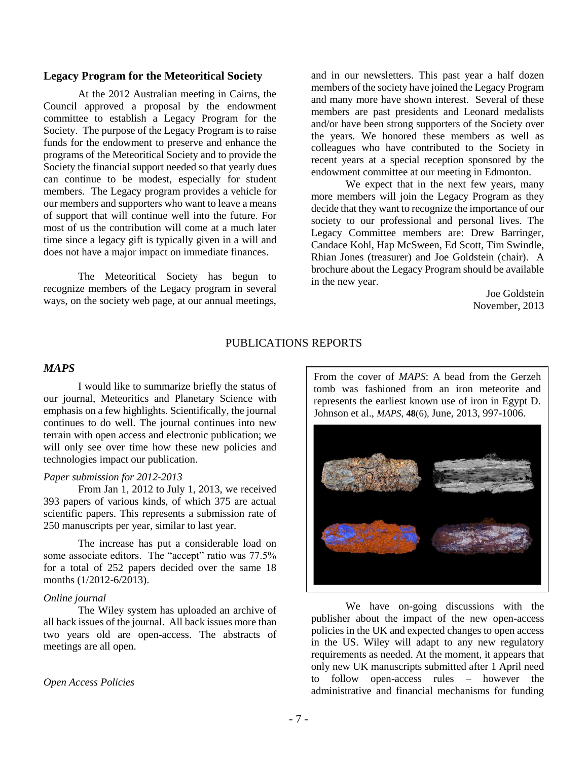#### **Legacy Program for the Meteoritical Society**

At the 2012 Australian meeting in Cairns, the Council approved a proposal by the endowment committee to establish a Legacy Program for the Society. The purpose of the Legacy Program is to raise funds for the endowment to preserve and enhance the programs of the Meteoritical Society and to provide the Society the financial support needed so that yearly dues can continue to be modest, especially for student members. The Legacy program provides a vehicle for our members and supporters who want to leave a means of support that will continue well into the future. For most of us the contribution will come at a much later time since a legacy gift is typically given in a will and does not have a major impact on immediate finances.

The Meteoritical Society has begun to recognize members of the Legacy program in several ways, on the society web page, at our annual meetings,

and in our newsletters. This past year a half dozen members of the society have joined the Legacy Program and many more have shown interest. Several of these members are past presidents and Leonard medalists and/or have been strong supporters of the Society over the years. We honored these members as well as colleagues who have contributed to the Society in recent years at a special reception sponsored by the endowment committee at our meeting in Edmonton.

We expect that in the next few years, many more members will join the Legacy Program as they decide that they want to recognize the importance of our society to our professional and personal lives. The Legacy Committee members are: Drew Barringer, Candace Kohl, Hap McSween, Ed Scott, Tim Swindle, Rhian Jones (treasurer) and Joe Goldstein (chair). A brochure about the Legacy Program should be available in the new year.

> Joe Goldstein November, 2013

## PUBLICATIONS REPORTS

#### *MAPS*

I would like to summarize briefly the status of our journal, Meteoritics and Planetary Science with emphasis on a few highlights. Scientifically, the journal continues to do well. The journal continues into new terrain with open access and electronic publication; we will only see over time how these new policies and technologies impact our publication.

#### *Paper submission for 2012-2013*

From Jan 1, 2012 to July 1, 2013, we received 393 papers of various kinds, of which 375 are actual scientific papers. This represents a submission rate of 250 manuscripts per year, similar to last year.

The increase has put a considerable load on some associate editors. The "accept" ratio was 77.5% for a total of 252 papers decided over the same 18 months (1/2012-6/2013).

#### *Online journal*

The Wiley system has uploaded an archive of all back issues of the journal. All back issues more than two years old are open-access. The abstracts of meetings are all open.

#### *Open Access Policies*

From the cover of *MAPS*: A bead from the Gerzeh tomb was fashioned from an iron meteorite and represents the earliest known use of iron in Egypt D. Johnson et al., *MAPS*, **48**(6), June, 2013, 997-1006.



We have on-going discussions with the publisher about the impact of the new open-access policies in the UK and expected changes to open access in the US. Wiley will adapt to any new regulatory requirements as needed. At the moment, it appears that only new UK manuscripts submitted after 1 April need to follow open-access rules – however the administrative and financial mechanisms for funding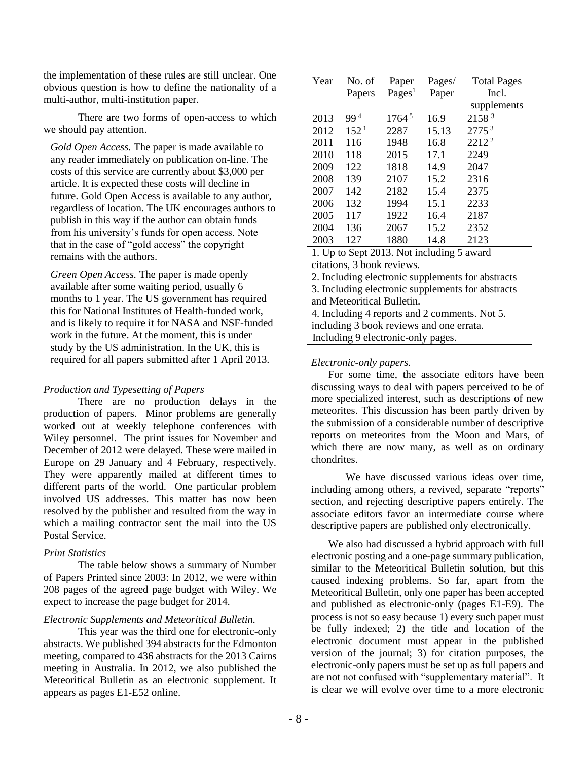the implementation of these rules are still unclear. One obvious question is how to define the nationality of a multi-author, multi-institution paper.

There are two forms of open-access to which we should pay attention.

*Gold Open Access.* The paper is made available to any reader immediately on publication on-line. The costs of this service are currently about \$3,000 per article. It is expected these costs will decline in future. Gold Open Access is available to any author, regardless of location. The UK encourages authors to publish in this way if the author can obtain funds from his university's funds for open access. Note that in the case of "gold access" the copyright remains with the authors.

*Green Open Access.* The paper is made openly available after some waiting period, usually 6 months to 1 year. The US government has required this for National Institutes of Health-funded work, and is likely to require it for NASA and NSF-funded work in the future. At the moment, this is under study by the US administration. In the UK, this is required for all papers submitted after 1 April 2013.

#### *Production and Typesetting of Papers*

There are no production delays in the production of papers. Minor problems are generally worked out at weekly telephone conferences with Wiley personnel. The print issues for November and December of 2012 were delayed. These were mailed in Europe on 29 January and 4 February, respectively. They were apparently mailed at different times to different parts of the world. One particular problem involved US addresses. This matter has now been resolved by the publisher and resulted from the way in which a mailing contractor sent the mail into the US Postal Service.

#### *Print Statistics*

The table below shows a summary of Number of Papers Printed since 2003: In 2012, we were within 208 pages of the agreed page budget with Wiley. We expect to increase the page budget for 2014.

#### *Electronic Supplements and Meteoritical Bulletin.*

This year was the third one for electronic-only abstracts. We published 394 abstracts for the Edmonton meeting, compared to 436 abstracts for the 2013 Cairns meeting in Australia. In 2012, we also published the Meteoritical Bulletin as an electronic supplement. It appears as pages E1-E52 online.

| Year | No. of           | Paper            | Pages/ | <b>Total Pages</b> |
|------|------------------|------------------|--------|--------------------|
|      | Papers           | $\text{Pages}^1$ | Paper  | Incl.              |
|      |                  |                  |        | supplements        |
| 2013 | 994              | 17645            | 16.9   | 2158 3             |
| 2012 | 152 <sup>1</sup> | 2287             | 15.13  | 2775 <sup>3</sup>  |
| 2011 | 116              | 1948             | 16.8   | 2212 <sup>2</sup>  |
| 2010 | 118              | 2015             | 17.1   | 2249               |
| 2009 | 122              | 1818             | 14.9   | 2047               |
| 2008 | 139              | 2107             | 15.2   | 2316               |
| 2007 | 142              | 2182             | 15.4   | 2375               |
| 2006 | 132              | 1994             | 15.1   | 2233               |
| 2005 | 117              | 1922             | 16.4   | 2187               |
| 2004 | 136              | 2067             | 15.2   | 2352               |
| 2003 | 127              | 1880             | 14.8   | 2123               |

1. Up to Sept 2013. Not including 5 award citations, 3 book reviews.

2. Including electronic supplements for abstracts

3. Including electronic supplements for abstracts and Meteoritical Bulletin. 4. Including 4 reports and 2 comments. Not 5. including 3 book reviews and one errata.

Including 9 electronic-only pages.

#### *Electronic-only papers.*

For some time, the associate editors have been discussing ways to deal with papers perceived to be of more specialized interest, such as descriptions of new meteorites. This discussion has been partly driven by the submission of a considerable number of descriptive reports on meteorites from the Moon and Mars, of which there are now many, as well as on ordinary chondrites.

We have discussed various ideas over time, including among others, a revived, separate "reports" section, and rejecting descriptive papers entirely. The associate editors favor an intermediate course where descriptive papers are published only electronically.

We also had discussed a hybrid approach with full electronic posting and a one-page summary publication, similar to the Meteoritical Bulletin solution, but this caused indexing problems. So far, apart from the Meteoritical Bulletin, only one paper has been accepted and published as electronic-only (pages E1-E9). The process is not so easy because 1) every such paper must be fully indexed; 2) the title and location of the electronic document must appear in the published version of the journal; 3) for citation purposes, the electronic-only papers must be set up as full papers and are not not confused with "supplementary material". It is clear we will evolve over time to a more electronic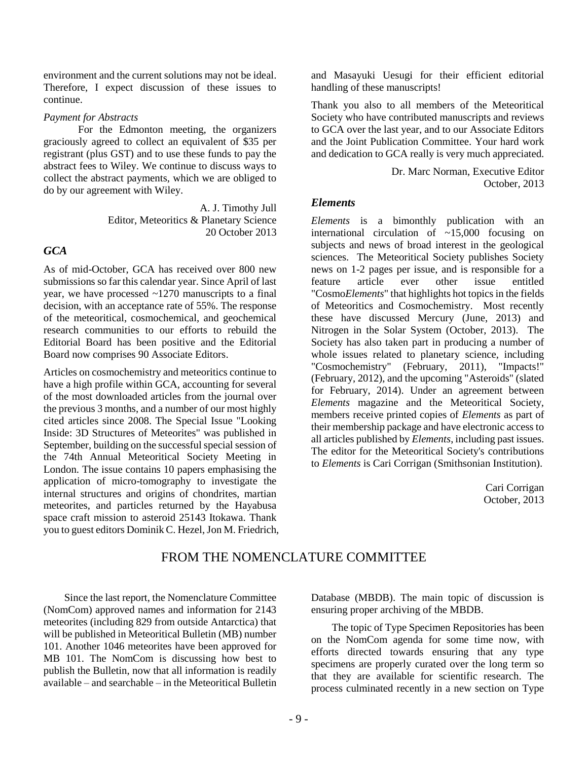environment and the current solutions may not be ideal. Therefore, I expect discussion of these issues to continue.

#### *Payment for Abstracts*

For the Edmonton meeting, the organizers graciously agreed to collect an equivalent of \$35 per registrant (plus GST) and to use these funds to pay the abstract fees to Wiley. We continue to discuss ways to collect the abstract payments, which we are obliged to do by our agreement with Wiley.

> A. J. Timothy Jull Editor, Meteoritics & Planetary Science 20 October 2013

# *GCA*

As of mid-October, GCA has received over 800 new submissions so far this calendar year. Since April of last year, we have processed ~1270 manuscripts to a final decision, with an acceptance rate of 55%. The response of the meteoritical, cosmochemical, and geochemical research communities to our efforts to rebuild the Editorial Board has been positive and the Editorial Board now comprises 90 Associate Editors.

Articles on cosmochemistry and meteoritics continue to have a high profile within GCA, accounting for several of the most downloaded articles from the journal over the previous 3 months, and a number of our most highly cited articles since 2008. The Special Issue "Looking Inside: 3D Structures of Meteorites" was published in September, building on the successful special session of the 74th Annual Meteoritical Society Meeting in London. The issue contains 10 papers emphasising the application of micro-tomography to investigate the internal structures and origins of chondrites, martian meteorites, and particles returned by the Hayabusa space craft mission to asteroid 25143 Itokawa. Thank you to guest editors Dominik C. Hezel, Jon M. Friedrich, and Masayuki Uesugi for their efficient editorial handling of these manuscripts!

Thank you also to all members of the Meteoritical Society who have contributed manuscripts and reviews to GCA over the last year, and to our Associate Editors and the Joint Publication Committee. Your hard work and dedication to GCA really is very much appreciated.

> Dr. Marc Norman, Executive Editor October, 2013

## *Elements*

*Elements* is a bimonthly publication with an international circulation of  $\sim 15,000$  focusing on subjects and news of broad interest in the geological sciences. The Meteoritical Society publishes Society news on 1-2 pages per issue, and is responsible for a feature article ever other issue entitled "Cosmo*Elements*" that highlights hot topics in the fields of Meteoritics and Cosmochemistry. Most recently these have discussed Mercury (June, 2013) and Nitrogen in the Solar System (October, 2013). The Society has also taken part in producing a number of whole issues related to planetary science, including "Cosmochemistry" (February, 2011), "Impacts!" (February, 2012), and the upcoming "Asteroids" (slated for February, 2014). Under an agreement between *Elements* magazine and the Meteoritical Society, members receive printed copies of *Elements* as part of their membership package and have electronic access to all articles published by *Elements*, including past issues. The editor for the Meteoritical Society's contributions to *Elements* is Cari Corrigan (Smithsonian Institution).

> Cari Corrigan October, 2013

# FROM THE NOMENCLATURE COMMITTEE

Since the last report, the Nomenclature Committee (NomCom) approved names and information for 2143 meteorites (including 829 from outside Antarctica) that will be published in Meteoritical Bulletin (MB) number 101. Another 1046 meteorites have been approved for MB 101. The NomCom is discussing how best to publish the Bulletin, now that all information is readily available – and searchable – in the Meteoritical Bulletin Database (MBDB). The main topic of discussion is ensuring proper archiving of the MBDB.

The topic of Type Specimen Repositories has been on the NomCom agenda for some time now, with efforts directed towards ensuring that any type specimens are properly curated over the long term so that they are available for scientific research. The process culminated recently in a new section on Type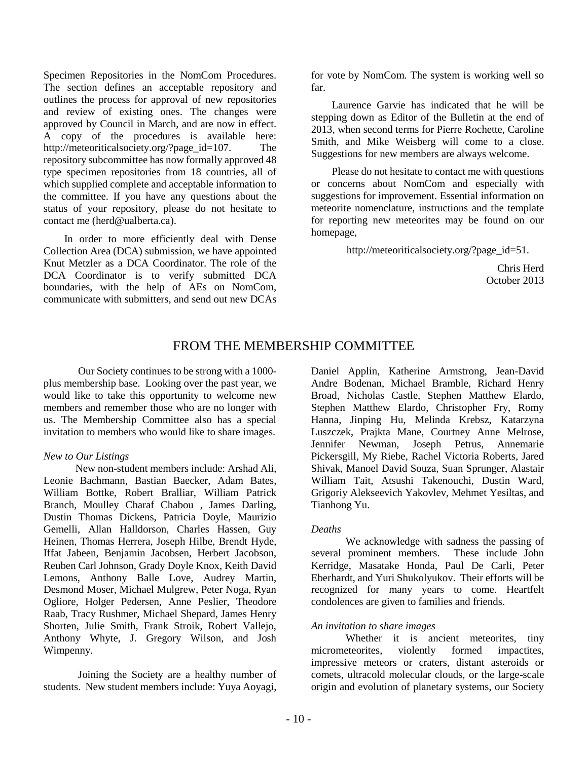Specimen Repositories in the NomCom Procedures. The section defines an acceptable repository and outlines the process for approval of new repositories and review of existing ones. The changes were approved by Council in March, and are now in effect. A copy of the procedures is available here: http://meteoriticalsociety.org/?page\_id=107. The repository subcommittee has now formally approved 48 type specimen repositories from 18 countries, all of which supplied complete and acceptable information to the committee. If you have any questions about the status of your repository, please do not hesitate to contact me (herd@ualberta.ca).

In order to more efficiently deal with Dense Collection Area (DCA) submission, we have appointed Knut Metzler as a DCA Coordinator. The role of the DCA Coordinator is to verify submitted DCA boundaries, with the help of AEs on NomCom, communicate with submitters, and send out new DCAs for vote by NomCom. The system is working well so far.

Laurence Garvie has indicated that he will be stepping down as Editor of the Bulletin at the end of 2013, when second terms for Pierre Rochette, Caroline Smith, and Mike Weisberg will come to a close. Suggestions for new members are always welcome.

Please do not hesitate to contact me with questions or concerns about NomCom and especially with suggestions for improvement. Essential information on meteorite nomenclature, instructions and the template for reporting new meteorites may be found on our homepage,

http://meteoriticalsociety.org/?page\_id=51.

Chris Herd October 2013

# FROM THE MEMBERSHIP COMMITTEE

Our Society continues to be strong with a 1000 plus membership base. Looking over the past year, we would like to take this opportunity to welcome new members and remember those who are no longer with us. The Membership Committee also has a special invitation to members who would like to share images.

#### *New to Our Listings*

New non-student members include: Arshad Ali, Leonie Bachmann, Bastian Baecker, Adam Bates, William Bottke, Robert Bralliar, William Patrick Branch, Moulley Charaf Chabou , James Darling, Dustin Thomas Dickens, Patricia Doyle, Maurizio Gemelli, Allan Halldorson, Charles Hassen, Guy Heinen, Thomas Herrera, Joseph Hilbe, Brendt Hyde, Iffat Jabeen, Benjamin Jacobsen, Herbert Jacobson, Reuben Carl Johnson, Grady Doyle Knox, Keith David Lemons, Anthony Balle Love, Audrey Martin, Desmond Moser, Michael Mulgrew, Peter Noga, Ryan Ogliore, Holger Pedersen, Anne Peslier, Theodore Raab, Tracy Rushmer, Michael Shepard, James Henry Shorten, Julie Smith, Frank Stroik, Robert Vallejo, Anthony Whyte, J. Gregory Wilson, and Josh Wimpenny.

Joining the Society are a healthy number of students. New student members include: Yuya Aoyagi,

Daniel Applin, Katherine Armstrong, Jean-David Andre Bodenan, Michael Bramble, Richard Henry Broad, Nicholas Castle, Stephen Matthew Elardo, Stephen Matthew Elardo, Christopher Fry, Romy Hanna, Jinping Hu, Melinda Krebsz, Katarzyna Luszczek, Prajkta Mane, Courtney Anne Melrose, Jennifer Newman, Joseph Petrus, Annemarie Pickersgill, My Riebe, Rachel Victoria Roberts, Jared Shivak, Manoel David Souza, Suan Sprunger, Alastair William Tait, Atsushi Takenouchi, Dustin Ward, Grigoriy Alekseevich Yakovlev, Mehmet Yesiltas, and Tianhong Yu.

#### *Deaths*

We acknowledge with sadness the passing of several prominent members. These include John Kerridge, Masatake Honda, Paul De Carli, Peter Eberhardt, and Yuri Shukolyukov. Their efforts will be recognized for many years to come. Heartfelt condolences are given to families and friends.

#### *An invitation to share images*

Whether it is ancient meteorites, tiny micrometeorites, violently formed impactites, impressive meteors or craters, distant asteroids or comets, ultracold molecular clouds, or the large-scale origin and evolution of planetary systems, our Society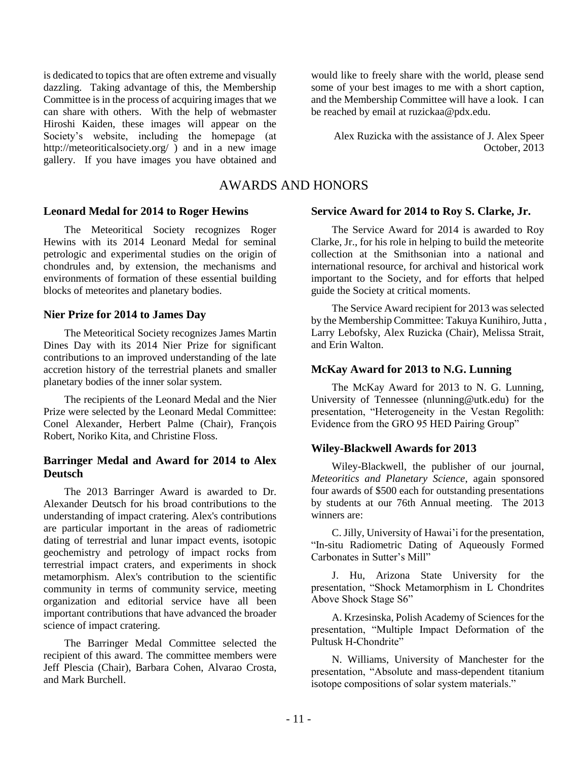is dedicated to topics that are often extreme and visually dazzling. Taking advantage of this, the Membership Committee is in the process of acquiring images that we can share with others. With the help of webmaster Hiroshi Kaiden, these images will appear on the Society's website, including the homepage (at http://meteoriticalsociety.org/ ) and in a new image gallery. If you have images you have obtained and

## **Leonard Medal for 2014 to Roger Hewins**

The Meteoritical Society recognizes Roger Hewins with its 2014 Leonard Medal for seminal petrologic and experimental studies on the origin of chondrules and, by extension, the mechanisms and environments of formation of these essential building blocks of meteorites and planetary bodies.

#### **Nier Prize for 2014 to James Day**

The Meteoritical Society recognizes James Martin Dines Day with its 2014 Nier Prize for significant contributions to an improved understanding of the late accretion history of the terrestrial planets and smaller planetary bodies of the inner solar system.

The recipients of the Leonard Medal and the Nier Prize were selected by the Leonard Medal Committee: Conel Alexander, Herbert Palme (Chair), François Robert, Noriko Kita, and Christine Floss.

## **Barringer Medal and Award for 2014 to Alex Deutsch**

The 2013 Barringer Award is awarded to Dr. Alexander Deutsch for his broad contributions to the understanding of impact cratering. Alex's contributions are particular important in the areas of radiometric dating of terrestrial and lunar impact events, isotopic geochemistry and petrology of impact rocks from terrestrial impact craters, and experiments in shock metamorphism. Alex's contribution to the scientific community in terms of community service, meeting organization and editorial service have all been important contributions that have advanced the broader science of impact cratering.

The Barringer Medal Committee selected the recipient of this award. The committee members were Jeff Plescia (Chair), Barbara Cohen, Alvarao Crosta, and Mark Burchell.

would like to freely share with the world, please send some of your best images to me with a short caption, and the Membership Committee will have a look. I can be reached by email at ruzickaa@pdx.edu.

Alex Ruzicka with the assistance of J. Alex Speer October, 2013

# AWARDS AND HONORS

#### **Service Award for 2014 to Roy S. Clarke, Jr.**

The Service Award for 2014 is awarded to Roy Clarke, Jr., for his role in helping to build the meteorite collection at the Smithsonian into a national and international resource, for archival and historical work important to the Society, and for efforts that helped guide the Society at critical moments.

The Service Award recipient for 2013 was selected by the Membership Committee: Takuya Kunihiro, Jutta , Larry Lebofsky, Alex Ruzicka (Chair), Melissa Strait, and Erin Walton.

## **McKay Award for 2013 to N.G. Lunning**

The McKay Award for 2013 to N. G. Lunning, University of Tennessee (nlunning@utk.edu) for the presentation, "Heterogeneity in the Vestan Regolith: Evidence from the GRO 95 HED Pairing Group"

# **Wiley-Blackwell Awards for 2013**

Wiley-Blackwell, the publisher of our journal, *Meteoritics and Planetary Science*, again sponsored four awards of \$500 each for outstanding presentations by students at our 76th Annual meeting. The 2013 winners are:

C. Jilly, University of Hawai'i for the presentation, "In-situ Radiometric Dating of Aqueously Formed Carbonates in Sutter's Mill"

J. Hu, Arizona State University for the presentation, "Shock Metamorphism in L Chondrites Above Shock Stage S6"

A. Krzesinska, Polish Academy of Sciences for the presentation, "Multiple Impact Deformation of the Pultusk H-Chondrite"

N. Williams, University of Manchester for the presentation, "Absolute and mass-dependent titanium isotope compositions of solar system materials."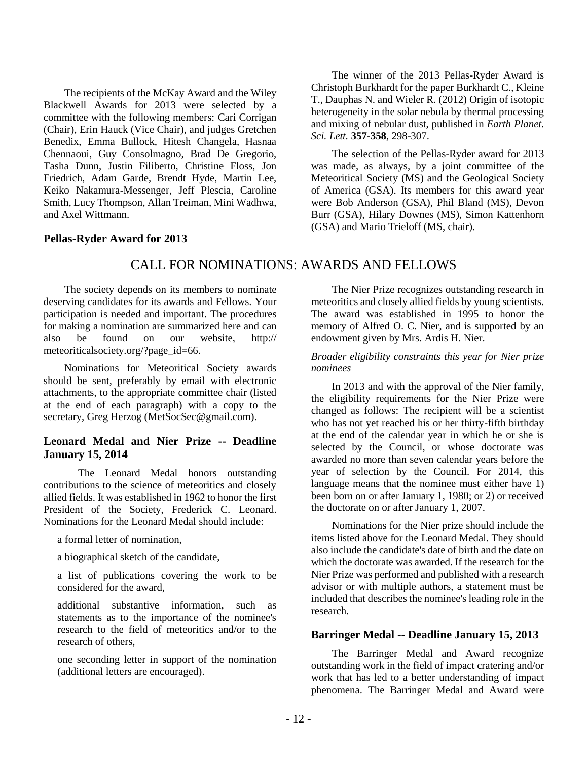The recipients of the McKay Award and the Wiley Blackwell Awards for 2013 were selected by a committee with the following members: Cari Corrigan (Chair), Erin Hauck (Vice Chair), and judges Gretchen Benedix, Emma Bullock, Hitesh Changela, Hasnaa Chennaoui, Guy Consolmagno, Brad De Gregorio, Tasha Dunn, Justin Filiberto, Christine Floss, Jon Friedrich, Adam Garde, Brendt Hyde, Martin Lee, Keiko Nakamura-Messenger, Jeff Plescia, Caroline Smith, Lucy Thompson, Allan Treiman, Mini Wadhwa, and Axel Wittmann.

#### The winner of the 2013 Pellas-Ryder Award is Christoph Burkhardt for the paper Burkhardt C., Kleine T., Dauphas N. and Wieler R. (2012) Origin of isotopic heterogeneity in the solar nebula by thermal processing and mixing of nebular dust, published in *Earth Planet. Sci. Lett.* **357-358**, 298-307.

The selection of the Pellas-Ryder award for 2013 was made, as always, by a joint committee of the Meteoritical Society (MS) and the Geological Society of America (GSA). Its members for this award year were Bob Anderson (GSA), Phil Bland (MS), Devon Burr (GSA), Hilary Downes (MS), Simon Kattenhorn (GSA) and Mario Trieloff (MS, chair).

#### **Pellas-Ryder Award for 2013**

# CALL FOR NOMINATIONS: AWARDS AND FELLOWS

The society depends on its members to nominate deserving candidates for its awards and Fellows. Your participation is needed and important. The procedures for making a nomination are summarized here and can also be found on our website, http:// meteoriticalsociety.org/?page\_id=66.

Nominations for Meteoritical Society awards should be sent, preferably by email with electronic attachments, to the appropriate committee chair (listed at the end of each paragraph) with a copy to the secretary, Greg Herzog (MetSocSec@gmail.com).

### **Leonard Medal and Nier Prize -- Deadline January 15, 2014**

The Leonard Medal honors outstanding contributions to the science of meteoritics and closely allied fields. It was established in 1962 to honor the first President of the Society, Frederick C. Leonard. Nominations for the Leonard Medal should include:

a formal letter of nomination,

a biographical sketch of the candidate,

a list of publications covering the work to be considered for the award,

additional substantive information, such as statements as to the importance of the nominee's research to the field of meteoritics and/or to the research of others

one seconding letter in support of the nomination (additional letters are encouraged).

The Nier Prize recognizes outstanding research in meteoritics and closely allied fields by young scientists. The award was established in 1995 to honor the memory of Alfred O. C. Nier, and is supported by an endowment given by Mrs. Ardis H. Nier.

#### *Broader eligibility constraints this year for Nier prize nominees*

In 2013 and with the approval of the Nier family, the eligibility requirements for the Nier Prize were changed as follows: The recipient will be a scientist who has not yet reached his or her thirty-fifth birthday at the end of the calendar year in which he or she is selected by the Council, or whose doctorate was awarded no more than seven calendar years before the year of selection by the Council. For 2014, this language means that the nominee must either have 1) been born on or after January 1, 1980; or 2) or received the doctorate on or after January 1, 2007.

Nominations for the Nier prize should include the items listed above for the Leonard Medal. They should also include the candidate's date of birth and the date on which the doctorate was awarded. If the research for the Nier Prize was performed and published with a research advisor or with multiple authors, a statement must be included that describes the nominee's leading role in the research.

### **Barringer Medal -- Deadline January 15, 2013**

The Barringer Medal and Award recognize outstanding work in the field of impact cratering and/or work that has led to a better understanding of impact phenomena. The Barringer Medal and Award were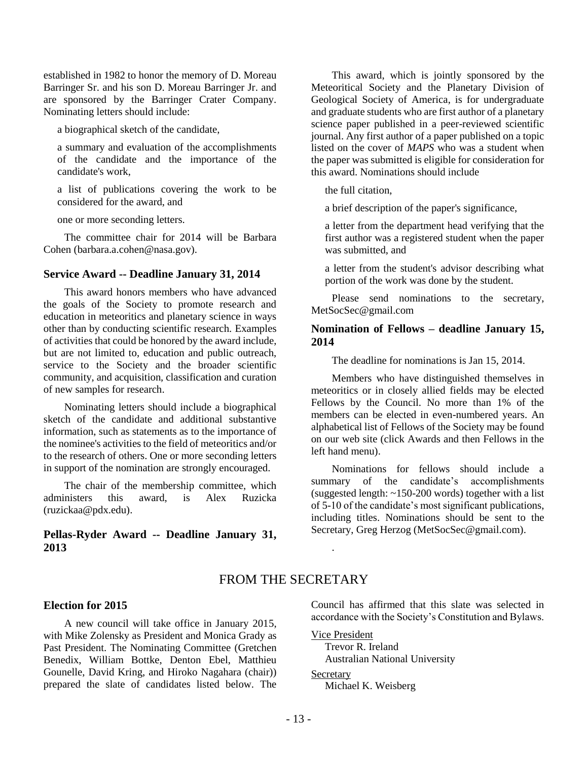established in 1982 to honor the memory of D. Moreau Barringer Sr. and his son D. Moreau Barringer Jr. and are sponsored by the Barringer Crater Company. Nominating letters should include:

a biographical sketch of the candidate,

a summary and evaluation of the accomplishments of the candidate and the importance of the candidate's work,

a list of publications covering the work to be considered for the award, and

one or more seconding letters.

The committee chair for 2014 will be Barbara Cohen (barbara.a.cohen@nasa.gov).

#### **Service Award -- Deadline January 31, 2014**

This award honors members who have advanced the goals of the Society to promote research and education in meteoritics and planetary science in ways other than by conducting scientific research. Examples of activities that could be honored by the award include, but are not limited to, education and public outreach, service to the Society and the broader scientific community, and acquisition, classification and curation of new samples for research.

Nominating letters should include a biographical sketch of the candidate and additional substantive information, such as statements as to the importance of the nominee's activities to the field of meteoritics and/or to the research of others. One or more seconding letters in support of the nomination are strongly encouraged.

The chair of the membership committee, which administers this award, is Alex Ruzicka (ruzickaa@pdx.edu).

## **Pellas-Ryder Award -- Deadline January 31, 2013**

This award, which is jointly sponsored by the Meteoritical Society and the Planetary Division of Geological Society of America, is for undergraduate and graduate students who are first author of a planetary science paper published in a peer-reviewed scientific journal. Any first author of a paper published on a topic listed on the cover of *MAPS* who was a student when the paper was submitted is eligible for consideration for this award. Nominations should include

the full citation,

a brief description of the paper's significance,

a letter from the department head verifying that the first author was a registered student when the paper was submitted, and

a letter from the student's advisor describing what portion of the work was done by the student.

Please send nominations to the secretary, MetSocSec@gmail.com

#### **Nomination of Fellows – deadline January 15, 2014**

The deadline for nominations is Jan 15, 2014.

Members who have distinguished themselves in meteoritics or in closely allied fields may be elected Fellows by the Council. No more than 1% of the members can be elected in even-numbered years. An alphabetical list of Fellows of the Society may be found on our web site (click Awards and then Fellows in the left hand menu).

Nominations for fellows should include a summary of the candidate's accomplishments (suggested length: ~150-200 words) together with a list of 5-10 of the candidate's most significant publications, including titles. Nominations should be sent to the Secretary, Greg Herzog (MetSocSec@gmail.com).

## FROM THE SECRETARY

#### **Election for 2015**

A new council will take office in January 2015, with Mike Zolensky as President and Monica Grady as Past President. The Nominating Committee (Gretchen Benedix, William Bottke, Denton Ebel, Matthieu Gounelle, David Kring, and Hiroko Nagahara (chair)) prepared the slate of candidates listed below. The Council has affirmed that this slate was selected in accordance with the Society's Constitution and Bylaws.

Vice President Trevor R. Ireland Australian National University

#### Secretary

.

Michael K. Weisberg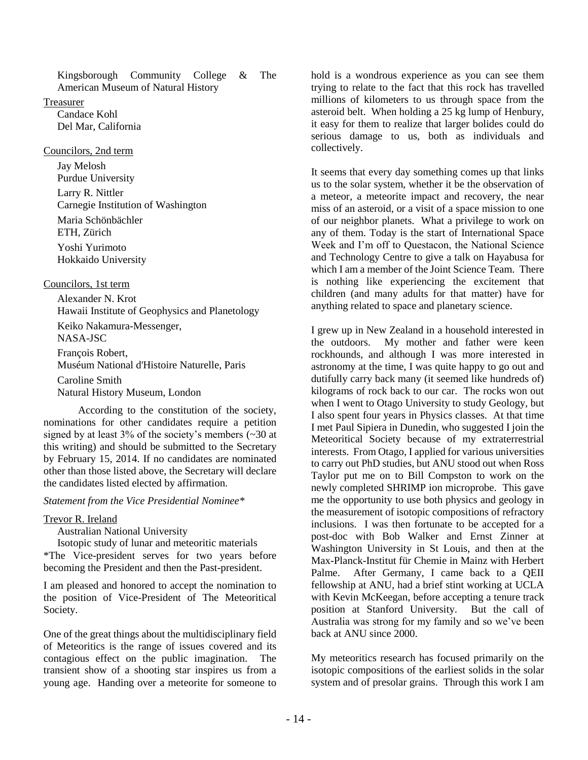Kingsborough Community College & The American Museum of Natural History

#### Treasurer

Candace Kohl Del Mar, California

## Councilors, 2nd term

Jay Melosh Purdue University Larry R. Nittler Carnegie Institution of Washington Maria Schönbächler ETH, Zürich Yoshi Yurimoto Hokkaido University

# Councilors, 1st term

Alexander N. Krot Hawaii Institute of Geophysics and Planetology Keiko Nakamura-Messenger, NASA-JSC François Robert, Muséum National d'Histoire Naturelle, Paris Caroline Smith

Natural History Museum, London

According to the constitution of the society, nominations for other candidates require a petition signed by at least 3% of the society's members (~30 at this writing) and should be submitted to the Secretary by February 15, 2014. If no candidates are nominated other than those listed above, the Secretary will declare the candidates listed elected by affirmation.

# *Statement from the Vice Presidential Nominee\**

# Trevor R. Ireland

Australian National University

Isotopic study of lunar and meteoritic materials \*The Vice-president serves for two years before becoming the President and then the Past-president.

I am pleased and honored to accept the nomination to the position of Vice-President of The Meteoritical Society.

One of the great things about the multidisciplinary field of Meteoritics is the range of issues covered and its contagious effect on the public imagination. The transient show of a shooting star inspires us from a young age. Handing over a meteorite for someone to hold is a wondrous experience as you can see them trying to relate to the fact that this rock has travelled millions of kilometers to us through space from the asteroid belt. When holding a 25 kg lump of Henbury, it easy for them to realize that larger bolides could do serious damage to us, both as individuals and collectively.

It seems that every day something comes up that links us to the solar system, whether it be the observation of a meteor, a meteorite impact and recovery, the near miss of an asteroid, or a visit of a space mission to one of our neighbor planets. What a privilege to work on any of them. Today is the start of International Space Week and I'm off to Questacon, the National Science and Technology Centre to give a talk on Hayabusa for which I am a member of the Joint Science Team. There is nothing like experiencing the excitement that children (and many adults for that matter) have for anything related to space and planetary science.

I grew up in New Zealand in a household interested in the outdoors. My mother and father were keen rockhounds, and although I was more interested in astronomy at the time, I was quite happy to go out and dutifully carry back many (it seemed like hundreds of) kilograms of rock back to our car. The rocks won out when I went to Otago University to study Geology, but I also spent four years in Physics classes. At that time I met Paul Sipiera in Dunedin, who suggested I join the Meteoritical Society because of my extraterrestrial interests. From Otago, I applied for various universities to carry out PhD studies, but ANU stood out when Ross Taylor put me on to Bill Compston to work on the newly completed SHRIMP ion microprobe. This gave me the opportunity to use both physics and geology in the measurement of isotopic compositions of refractory inclusions. I was then fortunate to be accepted for a post-doc with Bob Walker and Ernst Zinner at Washington University in St Louis, and then at the Max-Planck-Institut für Chemie in Mainz with Herbert Palme. After Germany, I came back to a QEII fellowship at ANU, had a brief stint working at UCLA with Kevin McKeegan, before accepting a tenure track position at Stanford University. But the call of Australia was strong for my family and so we've been back at ANU since 2000.

My meteoritics research has focused primarily on the isotopic compositions of the earliest solids in the solar system and of presolar grains. Through this work I am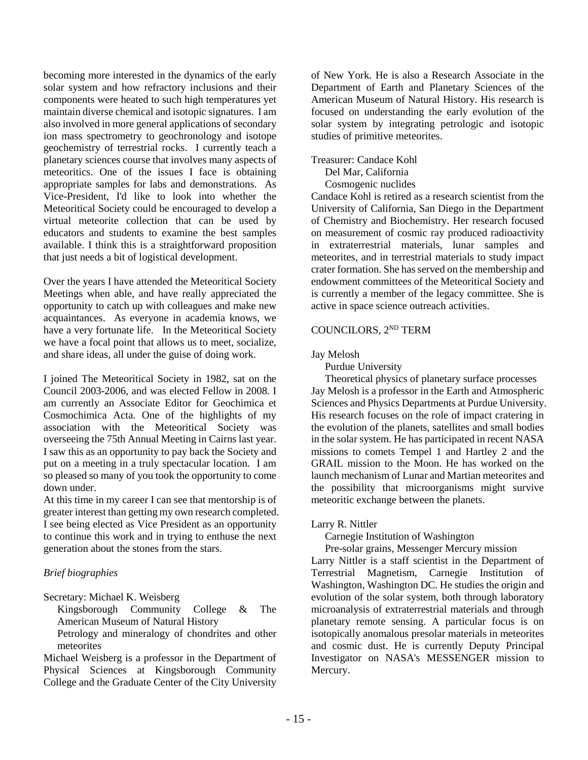becoming more interested in the dynamics of the early solar system and how refractory inclusions and their components were heated to such high temperatures yet maintain diverse chemical and isotopic signatures. I am also involved in more general applications of secondary ion mass spectrometry to geochronology and isotope geochemistry of terrestrial rocks. I currently teach a planetary sciences course that involves many aspects of meteoritics. One of the issues I face is obtaining appropriate samples for labs and demonstrations. As Vice-President, I'd like to look into whether the Meteoritical Society could be encouraged to develop a virtual meteorite collection that can be used by educators and students to examine the best samples available. I think this is a straightforward proposition that just needs a bit of logistical development.

Over the years I have attended the Meteoritical Society Meetings when able, and have really appreciated the opportunity to catch up with colleagues and make new acquaintances. As everyone in academia knows, we have a very fortunate life. In the Meteoritical Society we have a focal point that allows us to meet, socialize, and share ideas, all under the guise of doing work.

I joined The Meteoritical Society in 1982, sat on the Council 2003-2006, and was elected Fellow in 2008. I am currently an Associate Editor for Geochimica et Cosmochimica Acta. One of the highlights of my association with the Meteoritical Society was overseeing the 75th Annual Meeting in Cairns last year. I saw this as an opportunity to pay back the Society and put on a meeting in a truly spectacular location. I am so pleased so many of you took the opportunity to come down under.

At this time in my career I can see that mentorship is of greater interest than getting my own research completed. I see being elected as Vice President as an opportunity to continue this work and in trying to enthuse the next generation about the stones from the stars.

# *Brief biographies*

Secretary: Michael K. Weisberg

Kingsborough Community College & The American Museum of Natural History

Petrology and mineralogy of chondrites and other meteorites

Michael Weisberg is a professor in the Department of Physical Sciences at Kingsborough Community College and the Graduate Center of the City University of New York. He is also a Research Associate in the Department of Earth and Planetary Sciences of the American Museum of Natural History. His research is focused on understanding the early evolution of the solar system by integrating petrologic and isotopic studies of primitive meteorites.

Treasurer: Candace Kohl

Del Mar, California

Cosmogenic nuclides

Candace Kohl is retired as a research scientist from the University of California, San Diego in the Department of Chemistry and Biochemistry. Her research focused on measurement of cosmic ray produced radioactivity in extraterrestrial materials, lunar samples and meteorites, and in terrestrial materials to study impact crater formation. She has served on the membership and endowment committees of the Meteoritical Society and is currently a member of the legacy committee. She is active in space science outreach activities.

# COUNCILORS, 2ND TERM

Jay Melosh

Purdue University

Theoretical physics of planetary surface processes Jay Melosh is a professor in the Earth and Atmospheric Sciences and Physics Departments at Purdue University. His research focuses on the role of impact cratering in the evolution of the planets, satellites and small bodies in the solar system. He has participated in recent NASA missions to comets Tempel 1 and Hartley 2 and the GRAIL mission to the Moon. He has worked on the launch mechanism of Lunar and Martian meteorites and the possibility that microorganisms might survive meteoritic exchange between the planets.

#### Larry R. Nittler

Carnegie Institution of Washington

Pre-solar grains, Messenger Mercury mission

Larry Nittler is a staff scientist in the Department of Terrestrial Magnetism, Carnegie Institution of Washington, Washington DC. He studies the origin and evolution of the solar system, both through laboratory microanalysis of extraterrestrial materials and through planetary remote sensing. A particular focus is on isotopically anomalous presolar materials in meteorites and cosmic dust. He is currently Deputy Principal Investigator on NASA's MESSENGER mission to Mercury.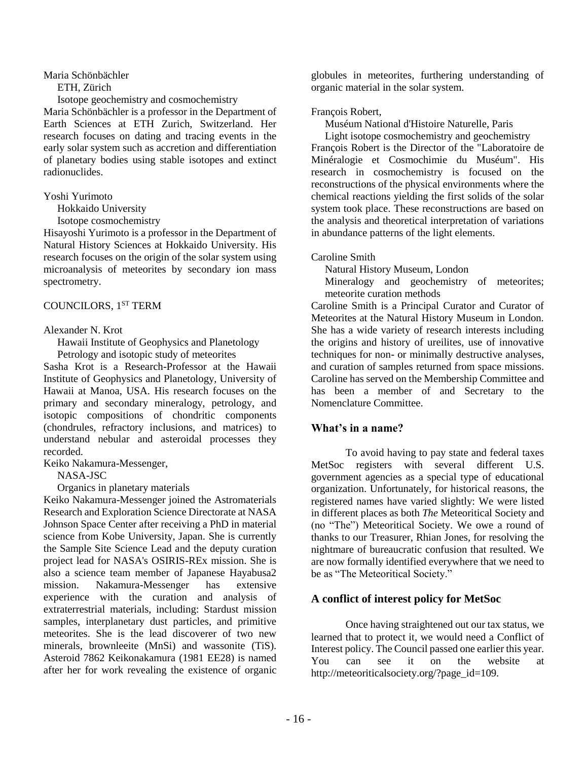Maria Schönbächler

ETH, Zürich

Isotope geochemistry and cosmochemistry

Maria Schönbächler is a professor in the Department of Earth Sciences at ETH Zurich, Switzerland. Her research focuses on dating and tracing events in the early solar system such as accretion and differentiation of planetary bodies using stable isotopes and extinct radionuclides.

#### Yoshi Yurimoto

Hokkaido University

Isotope cosmochemistry

Hisayoshi Yurimoto is a professor in the Department of Natural History Sciences at Hokkaido University. His research focuses on the origin of the solar system using microanalysis of meteorites by secondary ion mass spectrometry.

## COUNCILORS, 1<sup>ST</sup> TERM

#### Alexander N. Krot

Hawaii Institute of Geophysics and Planetology

Petrology and isotopic study of meteorites

Sasha Krot is a Research-Professor at the Hawaii Institute of Geophysics and Planetology, University of Hawaii at Manoa, USA. His research focuses on the primary and secondary mineralogy, petrology, and isotopic compositions of chondritic components (chondrules, refractory inclusions, and matrices) to understand nebular and asteroidal processes they recorded.

Keiko Nakamura-Messenger,

NASA-JSC

Organics in planetary materials

Keiko Nakamura-Messenger joined the Astromaterials Research and Exploration Science Directorate at NASA Johnson Space Center after receiving a PhD in material science from Kobe University, Japan. She is currently the Sample Site Science Lead and the deputy curation project lead for NASA's OSIRIS-REx mission. She is also a science team member of Japanese Hayabusa2 mission. Nakamura-Messenger has extensive experience with the curation and analysis of extraterrestrial materials, including: Stardust mission samples, interplanetary dust particles, and primitive meteorites. She is the lead discoverer of two new minerals, brownleeite (MnSi) and wassonite (TiS). Asteroid 7862 Keikonakamura (1981 EE28) is named after her for work revealing the existence of organic

globules in meteorites, furthering understanding of organic material in the solar system.

## François Robert,

Muséum National d'Histoire Naturelle, Paris

Light isotope cosmochemistry and geochemistry François Robert is the Director of the "Laboratoire de Minéralogie et Cosmochimie du Muséum". His research in cosmochemistry is focused on the reconstructions of the physical environments where the chemical reactions yielding the first solids of the solar system took place. These reconstructions are based on the analysis and theoretical interpretation of variations in abundance patterns of the light elements.

## Caroline Smith

Natural History Museum, London

Mineralogy and geochemistry of meteorites; meteorite curation methods

Caroline Smith is a Principal Curator and Curator of Meteorites at the Natural History Museum in London. She has a wide variety of research interests including the origins and history of ureilites, use of innovative techniques for non- or minimally destructive analyses, and curation of samples returned from space missions. Caroline has served on the Membership Committee and has been a member of and Secretary to the Nomenclature Committee.

# **What's in a name?**

To avoid having to pay state and federal taxes MetSoc registers with several different U.S. government agencies as a special type of educational organization. Unfortunately, for historical reasons, the registered names have varied slightly: We were listed in different places as both *The* Meteoritical Society and (no "The") Meteoritical Society. We owe a round of thanks to our Treasurer, Rhian Jones, for resolving the nightmare of bureaucratic confusion that resulted. We are now formally identified everywhere that we need to be as "The Meteoritical Society."

# **A conflict of interest policy for MetSoc**

Once having straightened out our tax status, we learned that to protect it, we would need a Conflict of Interest policy. The Council passed one earlier this year. You can see it on the website at http://meteoriticalsociety.org/?page\_id=109.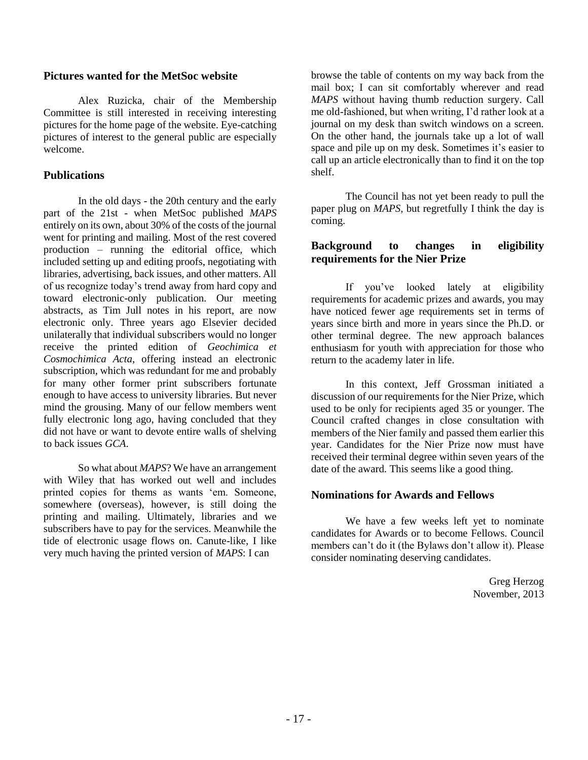## **Pictures wanted for the MetSoc website**

Alex Ruzicka, chair of the Membership Committee is still interested in receiving interesting pictures for the home page of the website. Eye-catching pictures of interest to the general public are especially welcome.

# **Publications**

In the old days - the 20th century and the early part of the 21st - when MetSoc published *MAPS* entirely on its own, about 30% of the costs of the journal went for printing and mailing. Most of the rest covered production – running the editorial office, which included setting up and editing proofs, negotiating with libraries, advertising, back issues, and other matters. All of us recognize today's trend away from hard copy and toward electronic-only publication. Our meeting abstracts, as Tim Jull notes in his report, are now electronic only. Three years ago Elsevier decided unilaterally that individual subscribers would no longer receive the printed edition of *Geochimica et Cosmochimica Acta*, offering instead an electronic subscription, which was redundant for me and probably for many other former print subscribers fortunate enough to have access to university libraries. But never mind the grousing. Many of our fellow members went fully electronic long ago, having concluded that they did not have or want to devote entire walls of shelving to back issues *GCA*.

So what about *MAPS*? We have an arrangement with Wiley that has worked out well and includes printed copies for thems as wants 'em. Someone, somewhere (overseas), however, is still doing the printing and mailing. Ultimately, libraries and we subscribers have to pay for the services. Meanwhile the tide of electronic usage flows on. Canute-like, I like very much having the printed version of *MAPS*: I can

browse the table of contents on my way back from the mail box; I can sit comfortably wherever and read *MAPS* without having thumb reduction surgery. Call me old-fashioned, but when writing, I'd rather look at a journal on my desk than switch windows on a screen. On the other hand, the journals take up a lot of wall space and pile up on my desk. Sometimes it's easier to call up an article electronically than to find it on the top shelf.

The Council has not yet been ready to pull the paper plug on *MAPS*, but regretfully I think the day is coming.

# **Background to changes in eligibility requirements for the Nier Prize**

If you've looked lately at eligibility requirements for academic prizes and awards, you may have noticed fewer age requirements set in terms of years since birth and more in years since the Ph.D. or other terminal degree. The new approach balances enthusiasm for youth with appreciation for those who return to the academy later in life.

In this context, Jeff Grossman initiated a discussion of our requirements for the Nier Prize, which used to be only for recipients aged 35 or younger. The Council crafted changes in close consultation with members of the Nier family and passed them earlier this year. Candidates for the Nier Prize now must have received their terminal degree within seven years of the date of the award. This seems like a good thing.

# **Nominations for Awards and Fellows**

We have a few weeks left yet to nominate candidates for Awards or to become Fellows. Council members can't do it (the Bylaws don't allow it). Please consider nominating deserving candidates.

> Greg Herzog November, 2013